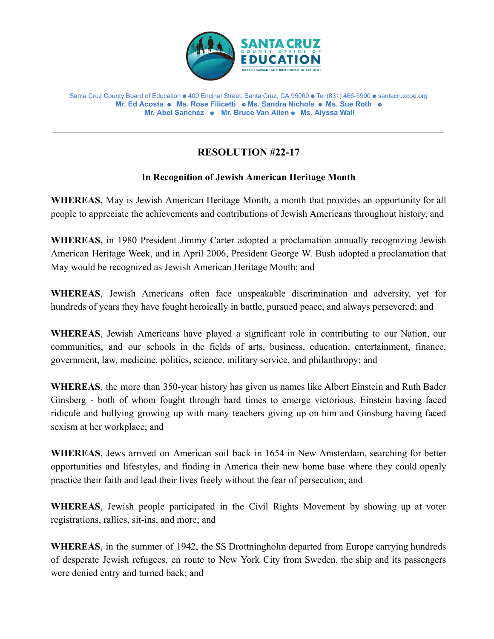

Santa Cruz County Board of Education ⚈ 400 Encinal Street, Santa Cruz, CA 95060 ⚈ Tel (831) 466-5900 ⚈ santacruzcoe.org **Mr. Ed Acosta** ⚈ **Ms. Rose Filicetti** ⚈ **Ms. Sandra Nichols** ⚈ **Ms. Sue Roth** ⚈ **Mr. Abel Sanchez** ⚈ **Mr. Bruce Van Allen** ⚈ **Ms. Alyssa Wall**

## **RESOLUTION #22-17**

## **In Recognition of Jewish American Heritage Month**

**WHEREAS,** May is Jewish American Heritage Month, a month that provides an opportunity for all people to appreciate the achievements and contributions of Jewish Americans throughout history, and

**WHEREAS,** in 1980 President Jimmy Carter adopted a proclamation annually recognizing Jewish American Heritage Week, and in April 2006, President George W. Bush adopted a proclamation that May would be recognized as Jewish American Heritage Month; and

**WHEREAS**, Jewish Americans often face unspeakable discrimination and adversity, yet for hundreds of years they have fought heroically in battle, pursued peace, and always persevered; and

**WHEREAS**, Jewish Americans have played a significant role in contributing to our Nation, our communities, and our schools in the fields of arts, business, education, entertainment, finance, government, law, medicine, politics, science, military service, and philanthropy; and

**WHEREAS**, the more than 350-year history has given us names like Albert Einstein and Ruth Bader Ginsberg - both of whom fought through hard times to emerge victorious, Einstein having faced ridicule and bullying growing up with many teachers giving up on him and Ginsburg having faced sexism at her workplace; and

**WHEREAS**, Jews arrived on American soil back in 1654 in New Amsterdam, searching for better opportunities and lifestyles, and finding in America their new home base where they could openly practice their faith and lead their lives freely without the fear of persecution; and

**WHEREAS**, Jewish people participated in the Civil Rights Movement by showing up at voter registrations, rallies, sit-ins, and more; and

**WHEREAS**, in the summer of 1942, the SS Drottningholm departed from Europe carrying hundreds of desperate Jewish refugees, en route to New York City from Sweden, the ship and its passengers were denied entry and turned back; and